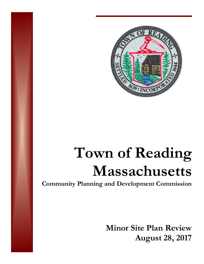

# **Town of Reading Massachusetts**

**Community Planning and Development Commission** 

**Minor Site Plan Review August 28, 2017**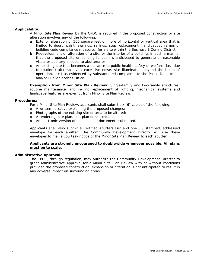# **Applicability:**

A Minor Site Plan Review by the CPDC is required if the proposed construction or site alteration involves any of the following:

- **a** Exterior alteration of 500 square feet or more of horizontal or vertical area that is limited to doors, paint, awnings, railings, step replacement, handicapped ramps or building code compliance measures, for a site within the Business B Zoning District;
- **b** Redevelopment or alteration of a site, or the interior of a building, in such a manner that the proposed site or building function is anticipated to generate unreasonable visual or auditory impacts to abutters; or
- **c** An existing site that becomes a nuisance to public health, safety or welfare (i.e., due to routine traffic spillover, excessive noise, site illumination beyond the hours of operation, etc.) as evidenced by substantiated complaints to the Police Department and/or Public Services Office.

**Exemption from Minor Site Plan Review:** Single-family and two-family structures, routine maintenance, and in-kind replacement of lighting, mechanical systems and landscape features are exempt from Minor Site Plan Review.

## **Procedures:**

For a Minor Site Plan Review, applicants shall submit six (6) copies of the following:

- o A written narrative explaining the proposed changes;
- o Photographs of the existing site or area to be altered;
- o A rendering, site plan, plot plan or sketch; and
- o An electronic version of all plans and documents submitted.

Applicants shall also submit a Certified Abutters List and one (1) stamped, addressed envelope for each abutter. The Community Development Director will use these envelopes to mail a courtesy notice of the Minor Site Plan Review to each abutter.

# **Applicants are strongly encouraged to double-side whenever possible. All plans must be to scale.**

### **Administrative Approval:**

The CPDC, through regulation, may authorize the Community Development Director to grant Administrative Approval for a Minor Site Plan Review with or without conditions provided the proposed construction, expansion or alteration is not anticipated to result in any adverse impact on surrounding areas.